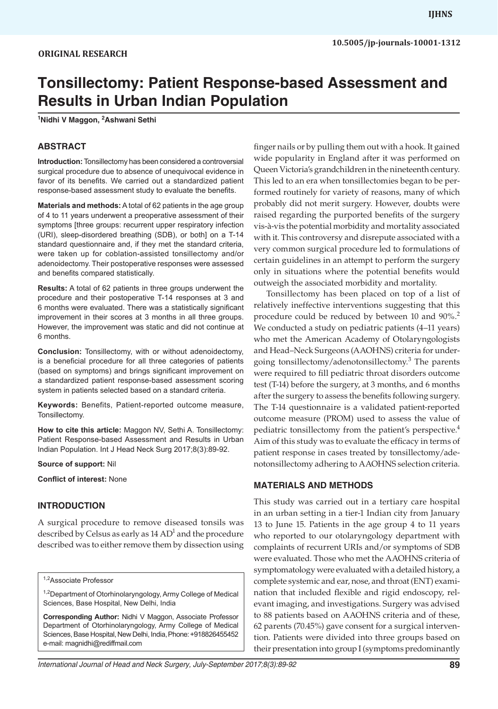# **Tonsillectomy: Patient Response-based Assessment and Results in Urban Indian Population**

**1 Nidhi V Maggon, 2 Ashwani Sethi**

#### **ABSTRACT**

**Introduction:** Tonsillectomy has been considered a controversial surgical procedure due to absence of unequivocal evidence in favor of its benefits. We carried out a standardized patient response-based assessment study to evaluate the benefits.

**Materials and methods:** A total of 62 patients in the age group of 4 to 11 years underwent a preoperative assessment of their symptoms [three groups: recurrent upper respiratory infection (URI), sleep-disordered breathing (SDB), or both] on a T-14 standard questionnaire and, if they met the standard criteria, were taken up for coblation-assisted tonsillectomy and/or adenoidectomy. Their postoperative responses were assessed and benefits compared statistically.

**Results:** A total of 62 patients in three groups underwent the procedure and their postoperative T-14 responses at 3 and 6 months were evaluated. There was a statistically significant improvement in their scores at 3 months in all three groups. However, the improvement was static and did not continue at 6 months.

**Conclusion:** Tonsillectomy, with or without adenoidectomy, is a beneficial procedure for all three categories of patients (based on symptoms) and brings significant improvement on a standardized patient response-based assessment scoring system in patients selected based on a standard criteria.

**Keywords:** Benefits, Patient-reported outcome measure, Tonsillectomy.

**How to cite this article:** Maggon NV, Sethi A. Tonsillectomy: Patient Response-based Assessment and Results in Urban Indian Population. Int J Head Neck Surg 2017;8(3):89-92.

**Source of support:** Nil

**Conflict of interest:** None

#### **INTRODUCTION**

A surgical procedure to remove diseased tonsils was described by Celsus as early as 14  $AD^1$  and the procedure described was to either remove them by dissection using

1,2Associate Professor

<sup>1,2</sup>Department of Otorhinolaryngology, Army College of Medical Sciences, Base Hospital, New Delhi, India

**Corresponding Author:** Nidhi V Maggon, Associate Professor Department of Otorhinolaryngology, Army College of Medical Sciences, Base Hospital, New Delhi, India, Phone: +918826455452 e-mail: magnidhi@rediffmail.com

finger nails or by pulling them out with a hook. It gained wide popularity in England after it was performed on Queen Victoria's grandchildren in the nineteenth century. This led to an era when tonsillectomies began to be performed routinely for variety of reasons, many of which probably did not merit surgery. However, doubts were raised regarding the purported benefits of the surgery vis-à-vis the potential morbidity and mortality associated with it. This controversy and disrepute associated with a very common surgical procedure led to formulations of certain guidelines in an attempt to perform the surgery only in situations where the potential benefits would outweigh the associated morbidity and mortality.

Tonsillectomy has been placed on top of a list of relatively ineffective interventions suggesting that this procedure could be reduced by between 10 and 90%.<sup>2</sup> We conducted a study on pediatric patients (4–11 years) who met the American Academy of Otolaryngologists and Head–Neck Surgeons (AAOHNS) criteria for undergoing tonsillectomy/adenotonsillectomy.<sup>3</sup> The parents were required to fill pediatric throat disorders outcome test (T-14) before the surgery, at 3 months, and 6 months after the surgery to assess the benefits following surgery. The T-14 questionnaire is a validated patient-reported outcome measure (PROM) used to assess the value of pediatric tonsillectomy from the patient's perspective.<sup>4</sup> Aim of this study was to evaluate the efficacy in terms of patient response in cases treated by tonsillectomy/adenotonsillectomy adhering to AAOHNS selection criteria.

#### **MATERIALS AND METHODS**

This study was carried out in a tertiary care hospital in an urban setting in a tier-1 Indian city from January 13 to June 15. Patients in the age group 4 to 11 years who reported to our otolaryngology department with complaints of recurrent URIs and/or symptoms of SDB were evaluated. Those who met the AAOHNS criteria of symptomatology were evaluated with a detailed history, a complete systemic and ear, nose, and throat (ENT) examination that included flexible and rigid endoscopy, relevant imaging, and investigations. Surgery was advised to 88 patients based on AAOHNS criteria and of these, 62 parents (70.45%) gave consent for a surgical intervention. Patients were divided into three groups based on their presentation into group I (symptoms predominantly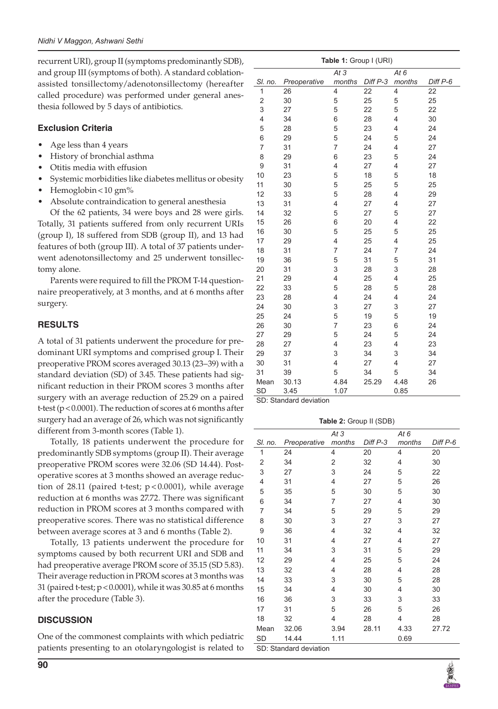recurrent URI), group II (symptoms predominantly SDB), and group III (symptoms of both). A standard coblationassisted tonsillectomy/adenotonsillectomy (hereafter called procedure) was performed under general anesthesia followed by 5 days of antibiotics.

### **Exclusion Criteria**

- Age less than 4 years
- History of bronchial asthma
- Otitis media with effusion
- Systemic morbidities like diabetes mellitus or obesity
- Hemoglobin < 10 gm%
- Absolute contraindication to general anesthesia

Of the 62 patients, 34 were boys and 28 were girls. Totally, 31 patients suffered from only recurrent URIs (group I), 18 suffered from SDB (group II), and 13 had features of both (group III). A total of 37 patients underwent adenotonsillectomy and 25 underwent tonsillectomy alone.

Parents were required to fill the PROM T-14 questionnaire preoperatively, at 3 months, and at 6 months after surgery.

## **RESULTS**

A total of 31 patients underwent the procedure for predominant URI symptoms and comprised group I. Their preoperative PROM scores averaged 30.13 (23–39) with a standard deviation (SD) of 3.45. These patients had significant reduction in their PROM scores 3 months after surgery with an average reduction of 25.29 on a paired t-test (p<0.0001). The reduction of scores at 6 months after surgery had an average of 26, which was not significantly different from 3-month scores (Table 1).

Totally, 18 patients underwent the procedure for predominantly SDB symptoms (group II). Their average preoperative PROM scores were 32.06 (SD 14.44). Postoperative scores at 3 months showed an average reduction of 28.11 (paired t-test; p < 0.0001), while average reduction at 6 months was 27.72. There was significant reduction in PROM scores at 3 months compared with preoperative scores. There was no statistical difference between average scores at 3 and 6 months (Table 2).

Totally, 13 patients underwent the procedure for symptoms caused by both recurrent URI and SDB and had preoperative average PROM score of 35.15 (SD 5.83). Their average reduction in PROM scores at 3 months was 31 (paired t-test;  $p < 0.0001$ ), while it was 30.85 at 6 months after the procedure (Table 3).

#### **DISCUSSION**

One of the commonest complaints with which pediatric patients presenting to an otolaryngologist is related to

| Table 1: Group I (URI) |              |                         |          |                |          |  |  |
|------------------------|--------------|-------------------------|----------|----------------|----------|--|--|
|                        |              | At 3                    |          | At $6$         |          |  |  |
| SI. no.                | Preoperative | months                  | Diff P-3 | months         | Diff P-6 |  |  |
| 1                      | 26           | 4                       | 22       | 4              | 22       |  |  |
| $\overline{c}$         | 30           | 5                       | 25       | 5              | 25       |  |  |
| 3                      | 27           | 5                       | 22       | 5              | 22       |  |  |
| 4                      | 34           | 6                       | 28       | 4              | 30       |  |  |
| 5                      | 28           | 5                       | 23       | 4              | 24       |  |  |
| 6                      | 29           | 5                       | 24       | 5              | 24       |  |  |
| 7                      | 31           | 7                       | 24       | 4              | 27       |  |  |
| 8                      | 29           | 6                       | 23       | 5              | 24       |  |  |
| 9                      | 31           | $\overline{\mathbf{4}}$ | 27       | 4              | 27       |  |  |
| 10                     | 23           | 5                       | 18       | 5              | 18       |  |  |
| 11                     | 30           | 5                       | 25       | 5              | 25       |  |  |
| 12                     | 33           | 5                       | 28       | 4              | 29       |  |  |
| 13                     | 31           | 4                       | 27       | 4              | 27       |  |  |
| 14                     | 32           | 5                       | 27       | 5              | 27       |  |  |
| 15                     | 26           | 6                       | 20       | $\overline{4}$ | 22       |  |  |
| 16                     | 30           | 5                       | 25       | 5              | 25       |  |  |
| 17                     | 29           | 4                       | 25       | 4              | 25       |  |  |
| 18                     | 31           | 7                       | 24       | 7              | 24       |  |  |
| 19                     | 36           | 5                       | 31       | 5              | 31       |  |  |
| 20                     | 31           | 3                       | 28       | 3              | 28       |  |  |
| 21                     | 29           | 4                       | 25       | 4              | 25       |  |  |
| 22                     | 33           | 5                       | 28       | 5              | 28       |  |  |
| 23                     | 28           | 4                       | 24       | $\overline{4}$ | 24       |  |  |
| 24                     | 30           | 3                       | 27       | 3              | 27       |  |  |
| 25                     | 24           | 5                       | 19       | 5              | 19       |  |  |
| 26                     | 30           | 7                       | 23       | 6              | 24       |  |  |
| 27                     | 29           | 5                       | 24       | 5              | 24       |  |  |
| 28                     | 27           | 4                       | 23       | $\overline{4}$ | 23       |  |  |
| 29                     | 37           | 3                       | 34       | 3              | 34       |  |  |
| 30                     | 31           | 4                       | 27       | 4              | 27       |  |  |
| 31                     | 39           | 5                       | 34       | 5              | 34       |  |  |
| Mean                   | 30.13        | 4.84                    | 25.29    | 4.48           | 26       |  |  |
| <b>SD</b>              | 3.45         | 1.07                    |          | 0.85           |          |  |  |

SD: Standard deviation

**Table 2:** Group II (SDB)

|                        |              | At 3   |          | At 6   |          |  |
|------------------------|--------------|--------|----------|--------|----------|--|
| SI. no.                | Preoperative | months | Diff P-3 | months | Diff P-6 |  |
| 1                      | 24           | 4      | 20       | 4      | 20       |  |
| 2                      | 34           | 2      | 32       | 4      | 30       |  |
| 3                      | 27           | 3      | 24       | 5      | 22       |  |
| 4                      | 31           | 4      | 27       | 5      | 26       |  |
| 5                      | 35           | 5      | 30       | 5      | 30       |  |
| 6                      | 34           | 7      | 27       | 4      | 30       |  |
| 7                      | 34           | 5      | 29       | 5      | 29       |  |
| 8                      | 30           | 3      | 27       | 3      | 27       |  |
| 9                      | 36           | 4      | 32       | 4      | 32       |  |
| 10                     | 31           | 4      | 27       | 4      | 27       |  |
| 11                     | 34           | 3      | 31       | 5      | 29       |  |
| 12                     | 29           | 4      | 25       | 5      | 24       |  |
| 13                     | 32           | 4      | 28       | 4      | 28       |  |
| 14                     | 33           | 3      | 30       | 5      | 28       |  |
| 15                     | 34           | 4      | 30       | 4      | 30       |  |
| 16                     | 36           | 3      | 33       | 3      | 33       |  |
| 17                     | 31           | 5      | 26       | 5      | 26       |  |
| 18                     | 32           | 4      | 28       | 4      | 28       |  |
| Mean                   | 32.06        | 3.94   | 28.11    | 4.33   | 27.72    |  |
| <b>SD</b>              | 14.44        | 1.11   |          | 0.69   |          |  |
| SD: Standard deviation |              |        |          |        |          |  |

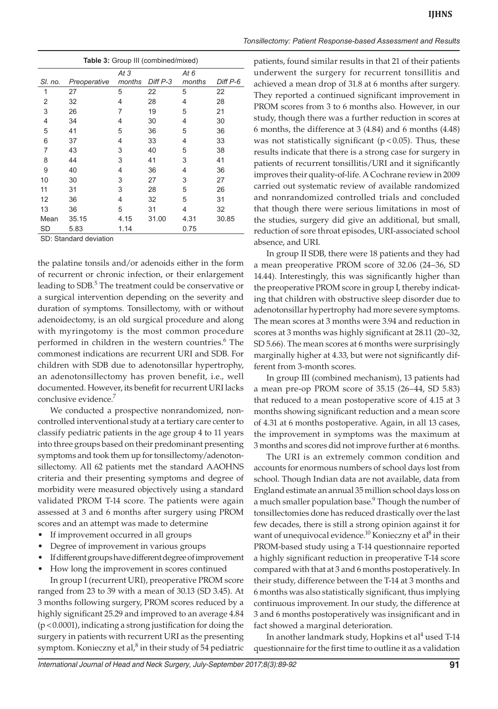| <b>Table 3:</b> Group III (combined/mixed) |              |                 |          |        |          |  |  |  |
|--------------------------------------------|--------------|-----------------|----------|--------|----------|--|--|--|
|                                            |              | At <sub>3</sub> |          | At 6   |          |  |  |  |
| SI, no.                                    | Preoperative | months          | Diff P-3 | months | Diff P-6 |  |  |  |
| 1                                          | 27           | 5               | 22       | 5      | 22       |  |  |  |
| 2                                          | 32           | 4               | 28       | 4      | 28       |  |  |  |
| 3                                          | 26           | 7               | 19       | 5      | 21       |  |  |  |
| 4                                          | 34           | 4               | 30       | 4      | 30       |  |  |  |
| 5                                          | 41           | 5               | 36       | 5      | 36       |  |  |  |
| 6                                          | 37           | 4               | 33       | 4      | 33       |  |  |  |
| 7                                          | 43           | 3               | 40       | 5      | 38       |  |  |  |
| 8                                          | 44           | 3               | 41       | 3      | 41       |  |  |  |
| 9                                          | 40           | 4               | 36       | 4      | 36       |  |  |  |
| 10                                         | 30           | 3               | 27       | 3      | 27       |  |  |  |
| 11                                         | 31           | 3               | 28       | 5      | 26       |  |  |  |
| 12                                         | 36           | 4               | 32       | 5      | 31       |  |  |  |
| 13                                         | 36           | 5               | 31       | 4      | 32       |  |  |  |
| Mean                                       | 35.15        | 4.15            | 31.00    | 4.31   | 30.85    |  |  |  |
| SD                                         | 5.83         | 1.14            |          | 0.75   |          |  |  |  |

SD: Standard deviation

the palatine tonsils and/or adenoids either in the form of recurrent or chronic infection, or their enlargement leading to SDB.<sup>5</sup> The treatment could be conservative or a surgical intervention depending on the severity and duration of symptoms. Tonsillectomy, with or without adenoidectomy, is an old surgical procedure and along with myringotomy is the most common procedure performed in children in the western countries.<sup>6</sup> The commonest indications are recurrent URI and SDB. For children with SDB due to adenotonsillar hypertrophy, an adenotonsillectomy has proven benefit, i.e., well documented. However, its benefit for recurrent URI lacks conclusive evidence.<sup>7</sup>

We conducted a prospective nonrandomized, noncontrolled interventional study at a tertiary care center to classify pediatric patients in the age group 4 to 11 years into three groups based on their predominant presenting symptoms and took them up for tonsillectomy/adenotonsillectomy. All 62 patients met the standard AAOHNS criteria and their presenting symptoms and degree of morbidity were measured objectively using a standard validated PROM T-14 score. The patients were again assessed at 3 and 6 months after surgery using PROM scores and an attempt was made to determine

- If improvement occurred in all groups
- Degree of improvement in various groups
- If different groups have different degree of improvement
- How long the improvement in scores continued

In group I (recurrent URI), preoperative PROM score ranged from 23 to 39 with a mean of 30.13 (SD 3.45). At 3 months following surgery, PROM scores reduced by a highly significant 25.29 and improved to an average 4.84 (p<0.0001), indicating a strong justification for doing the surgery in patients with recurrent URI as the presenting symptom. Konieczny et al, $^8$  in their study of 54 pediatric

*Tonsillectomy: Patient Response-based Assessment and Results*

patients, found similar results in that 21 of their patients underwent the surgery for recurrent tonsillitis and achieved a mean drop of 31.8 at 6 months after surgery. They reported a continued significant improvement in PROM scores from 3 to 6 months also. However, in our study, though there was a further reduction in scores at 6 months, the difference at 3 (4.84) and 6 months (4.48) was not statistically significant ( $p$ <0.05). Thus, these results indicate that there is a strong case for surgery in patients of recurrent tonsillitis/URI and it significantly improves their quality-of-life. A Cochrane review in 2009 carried out systematic review of available randomized and nonrandomized controlled trials and concluded that though there were serious limitations in most of the studies, surgery did give an additional, but small, reduction of sore throat episodes, URI-associated school absence, and URI.

In group II SDB, there were 18 patients and they had a mean preoperative PROM score of 32.06 (24–36, SD 14.44). Interestingly, this was significantly higher than the preoperative PROM score in group I, thereby indicating that children with obstructive sleep disorder due to adenotonsillar hypertrophy had more severe symptoms. The mean scores at 3 months were 3.94 and reduction in scores at 3 months was highly significant at 28.11 (20–32, SD 5.66). The mean scores at 6 months were surprisingly marginally higher at 4.33, but were not significantly different from 3-month scores.

In group III (combined mechanism), 13 patients had a mean pre-op PROM score of 35.15 (26–44, SD 5.83) that reduced to a mean postoperative score of 4.15 at 3 months showing significant reduction and a mean score of 4.31 at 6 months postoperative. Again, in all 13 cases, the improvement in symptoms was the maximum at 3 months and scores did not improve further at 6 months.

The URI is an extremely common condition and accounts for enormous numbers of school days lost from school. Though Indian data are not available, data from England estimate an annual 35 million school days loss on a much smaller population base.<sup>9</sup> Though the number of tonsillectomies done has reduced drastically over the last few decades, there is still a strong opinion against it for want of unequivocal evidence.<sup>10</sup> Konieczny et al<sup>8</sup> in their PROM-based study using a T-14 questionnaire reported a highly significant reduction in preoperative T-14 score compared with that at 3 and 6 months postoperatively. In their study, difference between the T-14 at 3 months and 6 months was also statistically significant, thus implying continuous improvement. In our study, the difference at 3 and 6 months postoperatively was insignificant and in fact showed a marginal deterioration.

In another landmark study, Hopkins et al $^4$  used T-14 questionnaire for the first time to outline it as a validation